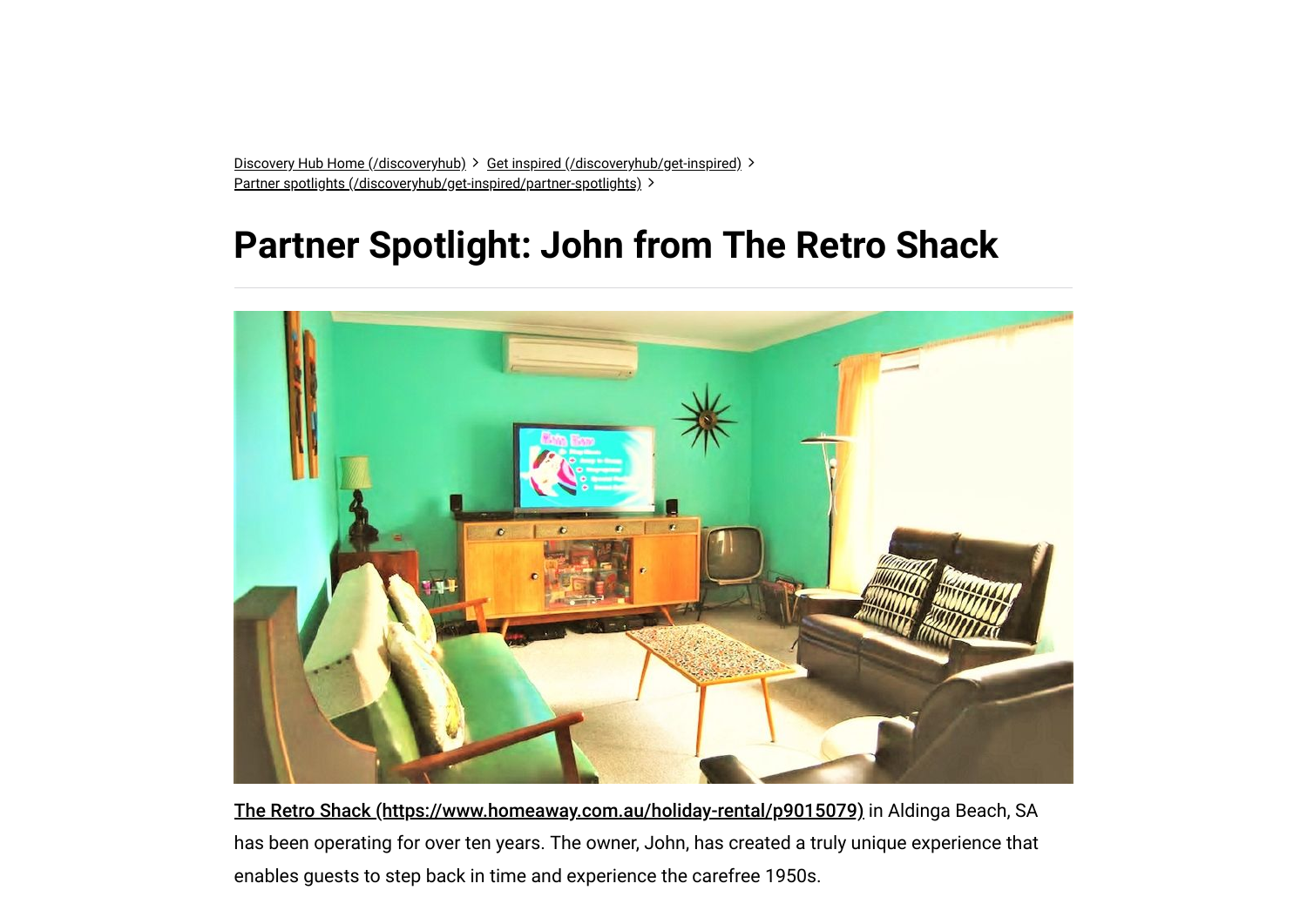[Discovery Hub Home \(/discoveryhub\)](https://www.homeaway.com.au/discoveryhub) > [Get inspired \(/discoveryhub/get-inspired\)](https://www.homeaway.com.au/discoveryhub/get-inspired) > [Partner spotlights \(/discoveryhub/get-inspired/partner-spotlights\)](https://www.homeaway.com.au/discoveryhub/get-inspired/partner-spotlights) >

# **Partner Spotlight: John from The Retro Shack**



[The Retro Shack \(https://www.homeaway.com.au/holiday-rental/p9015079\)](https://www.homeaway.com.au/holiday-rental/p9015079) in Aldinga Beach, SA has been operating for over ten years. The owner, John, has created a truly unique experience that enables guests to step back in time and experience the carefree 1950s.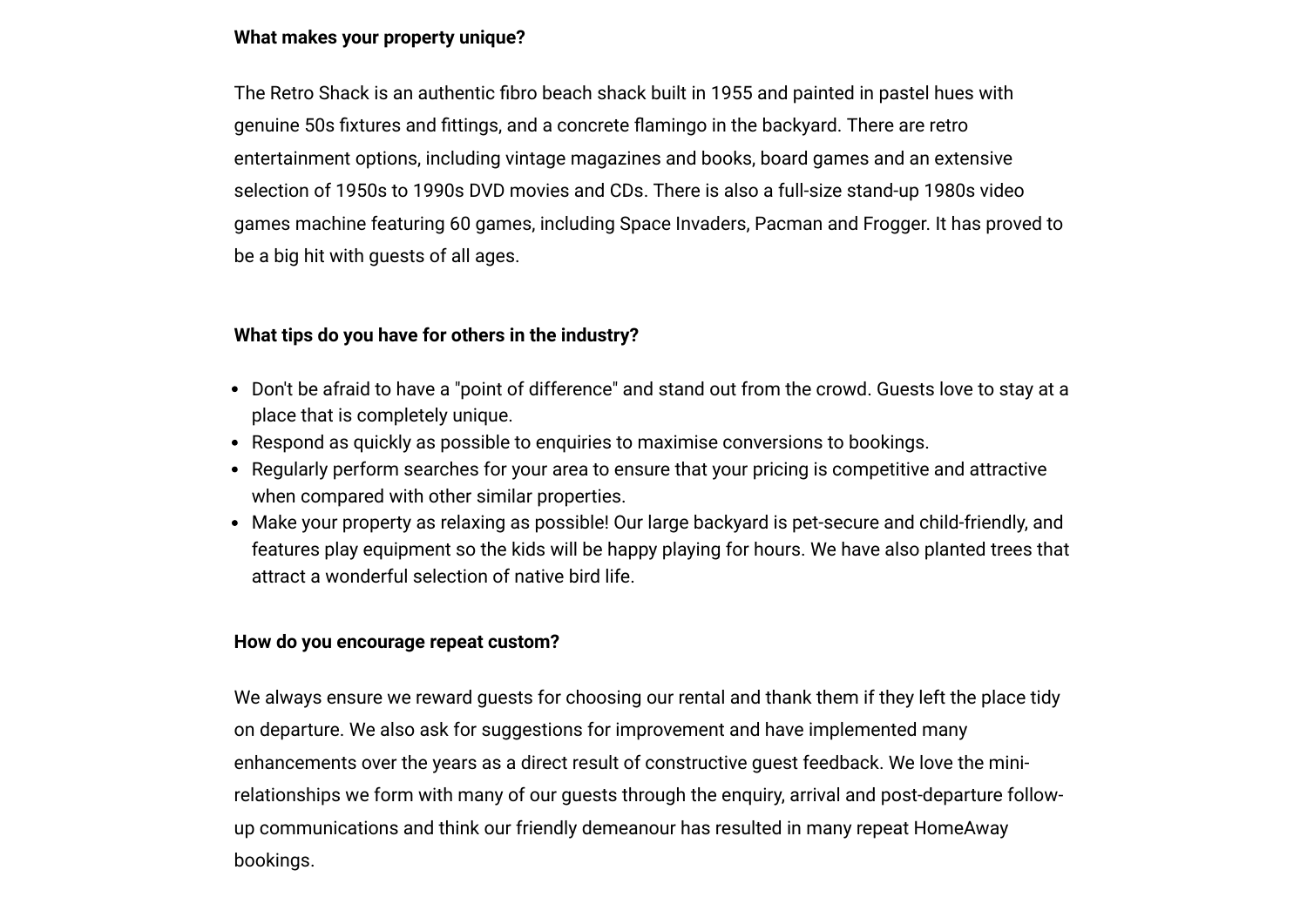## **1/3000 What makes your property unique?**

The Retro Shack is an authentic fibro beach shack built in 1955 and painted in pastel hues with genuine 50s fixtures and fittings, and a concrete flamingo in the backyard. There are retro entertainment options, including vintage magazines and books, board games and an extensive selection of 1950s to 1990s DVD movies and CDs. There is also a full-size stand-up 1980s video games machine featuring 60 games, including Space Invaders, Pacman and Frogger. It has proved to be a big hit with guests of all ages.

#### **What tips do you have for others in the industry?**

- Don't be afraid to have a "point of difference" and stand out from the crowd. Guests love to stay at a place that is completely unique.
- Respond as quickly as possible to enquiries to maximise conversions to bookings.
- Regularly perform searches for your area to ensure that your pricing is competitive and attractive when compared with other similar properties.
- Make your property as relaxing as possible! Our large backyard is pet-secure and child-friendly, and features play equipment so the kids will be happy playing for hours. We have also planted trees that attract a wonderful selection of native bird life.

#### **How do you encourage repeat custom?**

We always ensure we reward guests for choosing our rental and thank them if they left the place tidy on departure. We also ask for suggestions for improvement and have implemented many enhancements over the years as a direct result of constructive guest feedback. We love the minirelationships we form with many of our guests through the enquiry, arrival and post-departure followup communications and think our friendly demeanour has resulted in many repeat HomeAway bookings.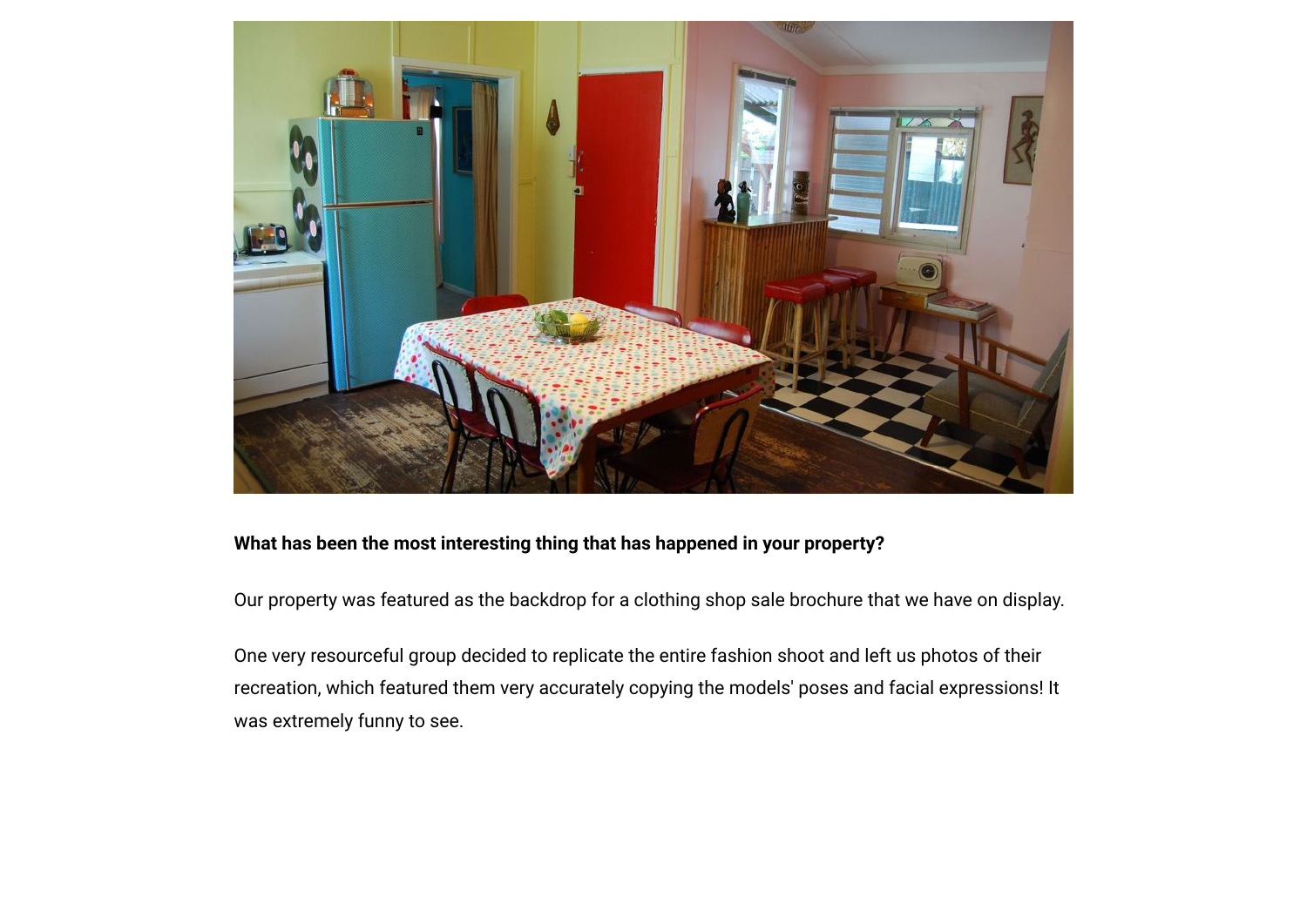

### **What has been the most interesting thing that has happened in your property?**

Our property was featured as the backdrop for a clothing shop sale brochure that we have on display.

One very resourceful group decided to replicate the entire fashion shoot and left us photos of their recreation, which featured them very accurately copying the models' poses and facial expressions! It was extremely funny to see.